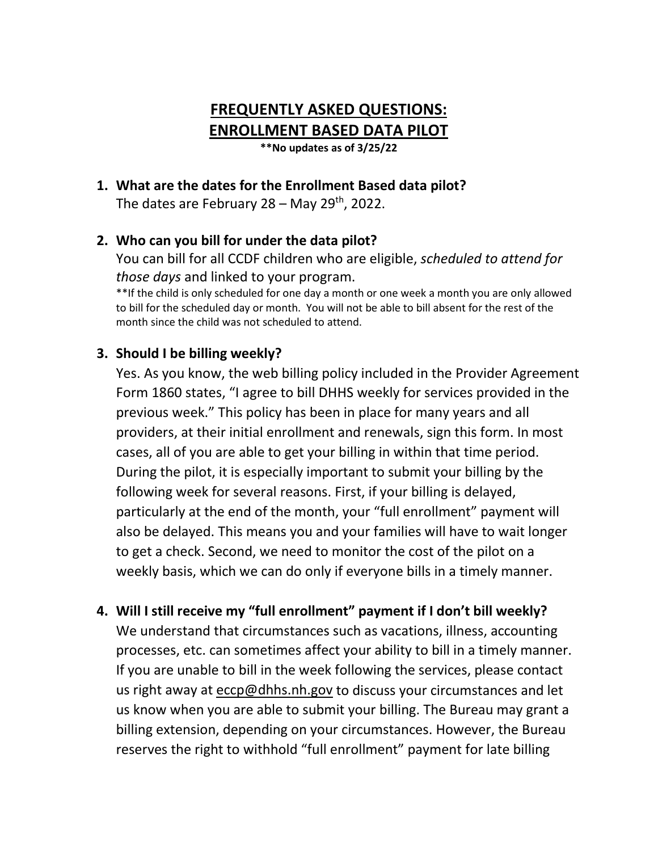# **FREQUENTLY ASKED QUESTIONS: ENROLLMENT BASED DATA PILOT \*\*No updates as of 3/25/22**

**1. What are the dates for the Enrollment Based data pilot?**

The dates are February  $28 -$  May  $29<sup>th</sup>$ , 2022.

#### **2. Who can you bill for under the data pilot?**

You can bill for all CCDF children who are eligible, *scheduled to attend for those days* and linked to your program.

\*\*If the child is only scheduled for one day a month or one week a month you are only allowed to bill for the scheduled day or month. You will not be able to bill absent for the rest of the month since the child was not scheduled to attend.

#### **3. Should I be billing weekly?**

Yes. As you know, the web billing policy included in the Provider Agreement Form 1860 states, "I agree to bill DHHS weekly for services provided in the previous week." This policy has been in place for many years and all providers, at their initial enrollment and renewals, sign this form. In most cases, all of you are able to get your billing in within that time period. During the pilot, it is especially important to submit your billing by the following week for several reasons. First, if your billing is delayed, particularly at the end of the month, your "full enrollment" payment will also be delayed. This means you and your families will have to wait longer to get a check. Second, we need to monitor the cost of the pilot on a weekly basis, which we can do only if everyone bills in a timely manner.

#### **4. Will I still receive my "full enrollment" payment if I don't bill weekly?**

We understand that circumstances such as vacations, illness, accounting processes, etc. can sometimes affect your ability to bill in a timely manner. If you are unable to bill in the week following the services, please contact us right away at [eccp@dhhs.nh.gov](mailto:eccp@dhhs.nh.gov) to discuss your circumstances and let us know when you are able to submit your billing. The Bureau may grant a billing extension, depending on your circumstances. However, the Bureau reserves the right to withhold "full enrollment" payment for late billing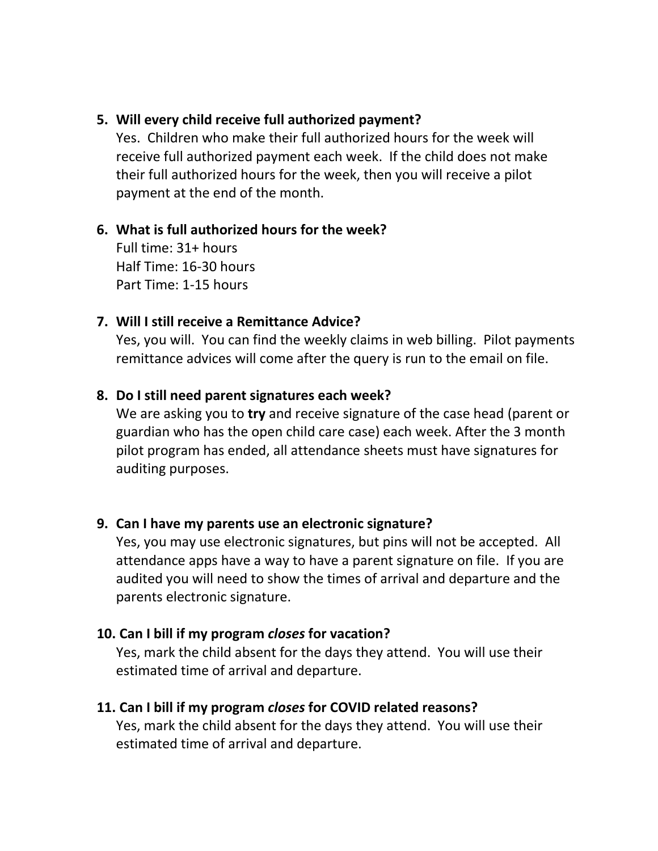#### **5. Will every child receive full authorized payment?**

Yes. Children who make their full authorized hours for the week will receive full authorized payment each week. If the child does not make their full authorized hours for the week, then you will receive a pilot payment at the end of the month.

#### **6. What is full authorized hours for the week?**

Full time: 31+ hours Half Time: 16-30 hours Part Time: 1-15 hours

#### **7. Will I still receive a Remittance Advice?**

Yes, you will. You can find the weekly claims in web billing. Pilot payments remittance advices will come after the query is run to the email on file.

#### **8. Do I still need parent signatures each week?**

We are asking you to **try** and receive signature of the case head (parent or guardian who has the open child care case) each week. After the 3 month pilot program has ended, all attendance sheets must have signatures for auditing purposes.

#### **9. Can I have my parents use an electronic signature?**

Yes, you may use electronic signatures, but pins will not be accepted. All attendance apps have a way to have a parent signature on file. If you are audited you will need to show the times of arrival and departure and the parents electronic signature.

#### **10. Can I bill if my program** *closes* **for vacation?**

Yes, mark the child absent for the days they attend. You will use their estimated time of arrival and departure.

#### **11. Can I bill if my program** *closes* **for COVID related reasons?**

Yes, mark the child absent for the days they attend. You will use their estimated time of arrival and departure.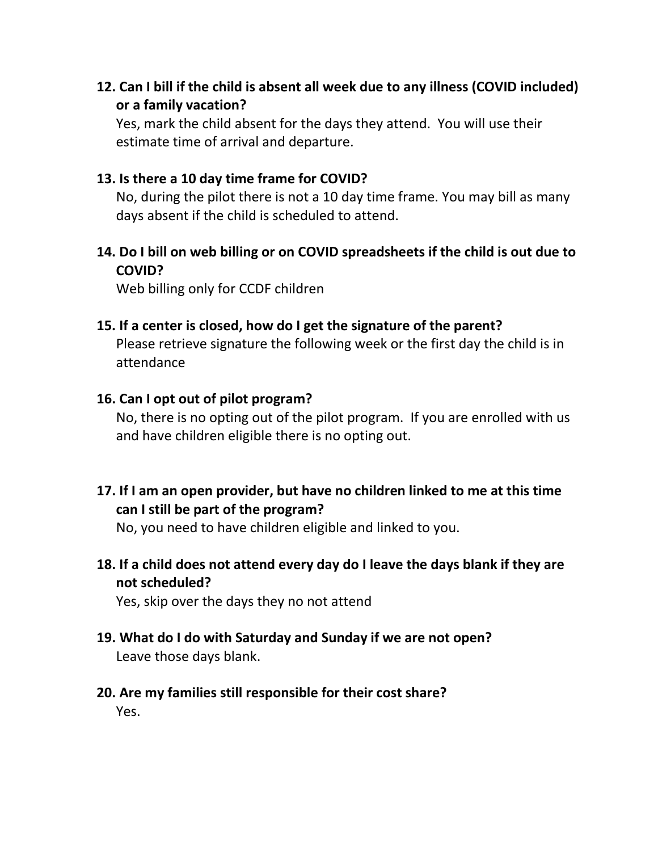# **12. Can I bill if the child is absent all week due to any illness (COVID included) or a family vacation?**

Yes, mark the child absent for the days they attend. You will use their estimate time of arrival and departure.

#### **13. Is there a 10 day time frame for COVID?**

No, during the pilot there is not a 10 day time frame. You may bill as many days absent if the child is scheduled to attend.

## **14. Do I bill on web billing or on COVID spreadsheets if the child is out due to COVID?**

Web billing only for CCDF children

#### **15. If a center is closed, how do I get the signature of the parent?**

Please retrieve signature the following week or the first day the child is in attendance

#### **16. Can I opt out of pilot program?**

No, there is no opting out of the pilot program. If you are enrolled with us and have children eligible there is no opting out.

## **17. If I am an open provider, but have no children linked to me at this time can I still be part of the program?**

No, you need to have children eligible and linked to you.

**18. If a child does not attend every day do I leave the days blank if they are not scheduled?**

Yes, skip over the days they no not attend

**19. What do I do with Saturday and Sunday if we are not open?**

Leave those days blank.

**20. Are my families still responsible for their cost share?** 

Yes.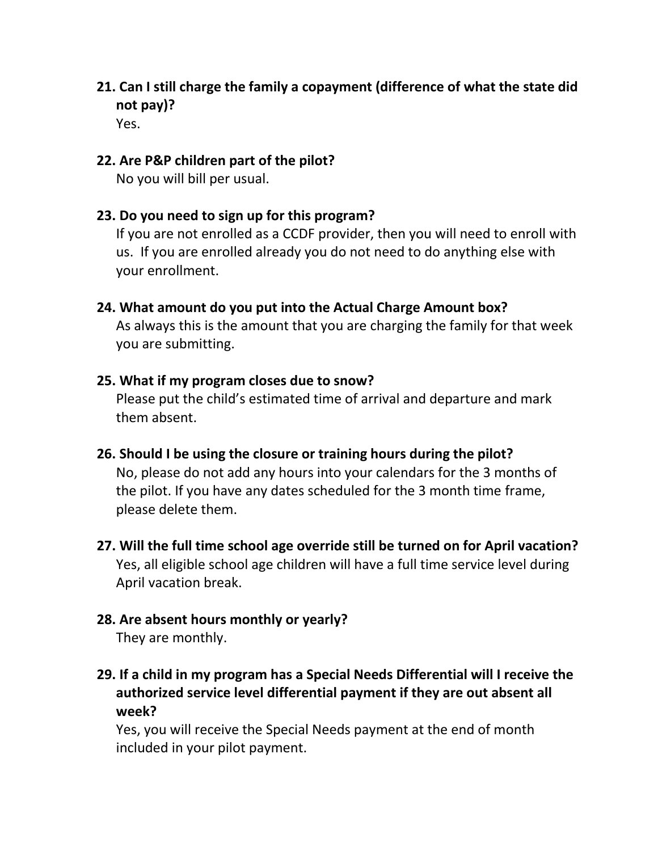**21. Can I still charge the family a copayment (difference of what the state did not pay)?**

Yes.

### **22. Are P&P children part of the pilot?**

No you will bill per usual.

## **23. Do you need to sign up for this program?**

If you are not enrolled as a CCDF provider, then you will need to enroll with us. If you are enrolled already you do not need to do anything else with your enrollment.

# **24. What amount do you put into the Actual Charge Amount box?**

As always this is the amount that you are charging the family for that week you are submitting.

#### **25. What if my program closes due to snow?**

Please put the child's estimated time of arrival and departure and mark them absent.

# **26. Should I be using the closure or training hours during the pilot?**

No, please do not add any hours into your calendars for the 3 months of the pilot. If you have any dates scheduled for the 3 month time frame, please delete them.

# **27. Will the full time school age override still be turned on for April vacation?**  Yes, all eligible school age children will have a full time service level during April vacation break.

# **28. Are absent hours monthly or yearly?**

They are monthly.

# **29. If a child in my program has a Special Needs Differential will I receive the authorized service level differential payment if they are out absent all week?**

Yes, you will receive the Special Needs payment at the end of month included in your pilot payment.